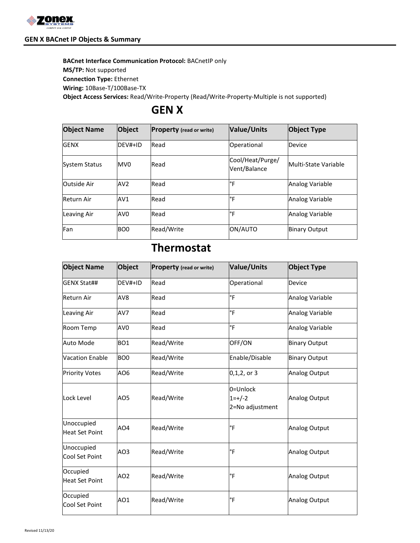

#### **GEN X BACnet IP Objects & Summary**

**BACnet Interface Communication Protocol:** BACnetIP only **MS/TP:** Not supported **Connection Type:** Ethernet **Wiring:** 10Base-T/100Base-TX

**Object Access Services:** Read/Write-Property (Read/Write-Property-Multiple is not supported)

# **GEN X**

| <b>Object Name</b>   | Object          | <b>Property</b> (read or write) | <b>Value/Units</b>               | <b>Object Type</b>   |
|----------------------|-----------------|---------------------------------|----------------------------------|----------------------|
| <b>GENX</b>          | $DEV#+ID$       | Read                            | Operational                      | Device               |
| <b>System Status</b> | MV <sub>0</sub> | Read                            | Cool/Heat/Purge/<br>Vent/Balance | Multi-State Variable |
| Outside Air          | AV2             | Read                            | ľ۴                               | Analog Variable      |
| Return Air           | AV1             | Read                            | ľ۴                               | Analog Variable      |
| Leaving Air          | AV0             | Read                            | ľ۴                               | Analog Variable      |
| Fan                  | BO <sub>0</sub> | Read/Write                      | ON/AUTO                          | <b>Binary Output</b> |

# **Thermostat**

| <b>Object Name</b>                  | <b>Object</b>   | <b>Property</b> (read or write) | Value/Units                                | <b>Object Type</b>   |
|-------------------------------------|-----------------|---------------------------------|--------------------------------------------|----------------------|
| <b>GENX Stat##</b>                  | DEV#+ID         | Read                            | Operational                                | Device               |
| <b>Return Air</b>                   | AV <sub>8</sub> | Read                            | °F                                         | Analog Variable      |
| <b>Leaving Air</b>                  | AV7             | Read                            | °F                                         | Analog Variable      |
| Room Temp                           | AV <sub>0</sub> | Read                            | °F                                         | Analog Variable      |
| Auto Mode                           | BO <sub>1</sub> | Read/Write                      | OFF/ON                                     | <b>Binary Output</b> |
| <b>Vacation Enable</b>              | BO <sub>0</sub> | Read/Write                      | Enable/Disable                             | <b>Binary Output</b> |
| <b>Priority Votes</b>               | AO6             | Read/Write                      | $0, 1, 2,$ or 3                            | Analog Output        |
| Lock Level                          | AO5             | Read/Write                      | l0=Unlock<br>$1 = +/-2$<br>2=No adjustment | Analog Output        |
| Unoccupied<br><b>Heat Set Point</b> | AO4             | Read/Write                      | °F                                         | <b>Analog Output</b> |
| Unoccupied<br>Cool Set Point        | AO3             | Read/Write                      | °F                                         | <b>Analog Output</b> |
| Occupied<br><b>Heat Set Point</b>   | AO <sub>2</sub> | Read/Write                      | °F                                         | <b>Analog Output</b> |
| Occupied<br>Cool Set Point          | AO1             | Read/Write                      | °F                                         | Analog Output        |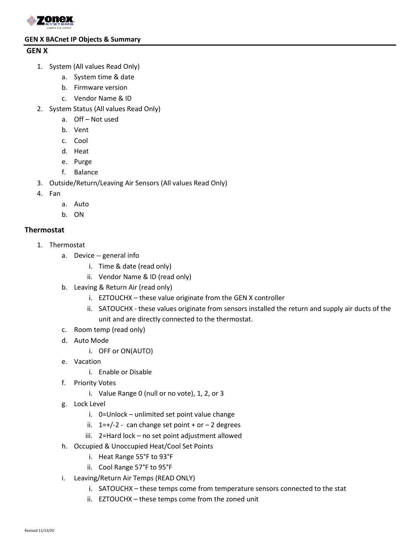

#### **GEN X BACnet IP Objects & Summary**

#### **GEN X**

- 1. System (All values Read Only)
	- a. System time & date
	- b. Firmware version
	- c. Vendor Name & ID
- 2. System Status (All values Read Only)
	- a. Off Not used
	- b. Vent
	- c. Cool
	- d. Heat
	- e. Purge
	- f. Balance
- 3. Outside/Return/Leaving Air Sensors (All values Read Only)
- 4. Fan
	- a. Auto
	- b. ON

### **Thermostat**

- 1. Thermostat
	- a. Device -- general info
		- i. Time & date (read only)
		- ii. Vendor Name & ID (read only)
	- b. Leaving & Return Air (read only)
		- i. EZTOUCHX these value originate from the GEN X controller
		- ii. SATOUCHX these values originate from sensors installed the return and supply air ducts of the unit and are directly connected to the thermostat.
	- c. Room temp (read only)
	- d. Auto Mode
		- i. OFF or ON(AUTO)
	- e. Vacation
		- i. Enable or Disable
	- f. Priority Votes
		- i. Value Range 0 (null or no vote), 1, 2, or 3
	- g. Lock Level
		- i. 0=Unlock unlimited set point value change
		- ii.  $1=+/2$  can change set point + or 2 degrees
		- iii. 2=Hard lock no set point adjustment allowed
	- h. Occupied & Unoccupied Heat/Cool Set Points
		- i. Heat Range 55°F to 93°F
		- ii. Cool Range 57°F to 95°F
	- i. Leaving/Return Air Temps (READ ONLY)
		- i. SATOUCHX these temps come from temperature sensors connected to the stat
		- ii. EZTOUCHX these temps come from the zoned unit